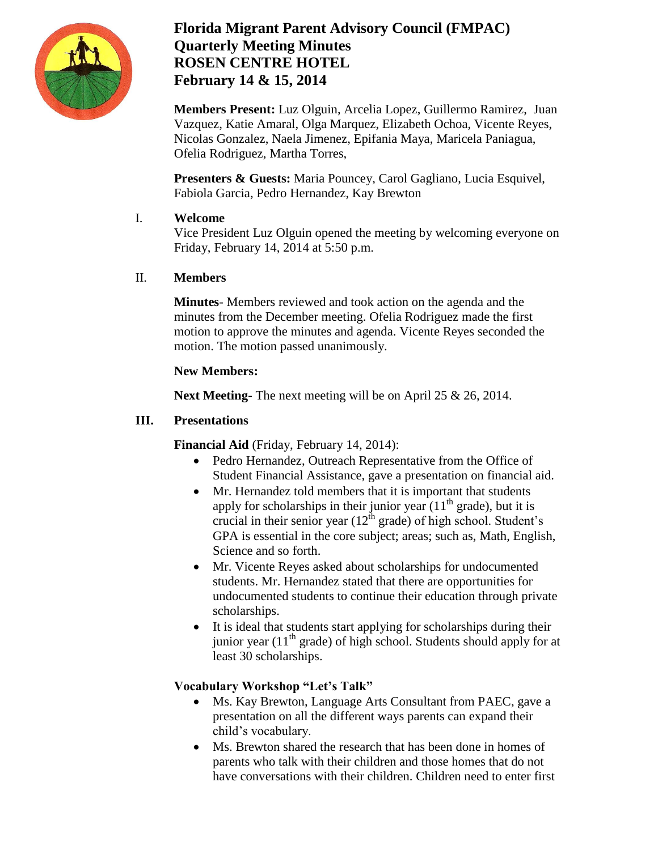

# **Florida Migrant Parent Advisory Council (FMPAC) Quarterly Meeting Minutes ROSEN CENTRE HOTEL February 14 & 15, 2014**

**Members Present:** Luz Olguin, Arcelia Lopez, Guillermo Ramirez, Juan Vazquez, Katie Amaral, Olga Marquez, Elizabeth Ochoa, Vicente Reyes, Nicolas Gonzalez, Naela Jimenez, Epifania Maya, Maricela Paniagua, Ofelia Rodriguez, Martha Torres,

**Presenters & Guests:** Maria Pouncey, Carol Gagliano, Lucia Esquivel, Fabiola Garcia, Pedro Hernandez, Kay Brewton

#### I. **Welcome**

Vice President Luz Olguin opened the meeting by welcoming everyone on Friday, February 14, 2014 at 5:50 p.m.

# II. **Members**

**Minutes**- Members reviewed and took action on the agenda and the minutes from the December meeting. Ofelia Rodriguez made the first motion to approve the minutes and agenda. Vicente Reyes seconded the motion. The motion passed unanimously.

# **New Members:**

**Next Meeting-** The next meeting will be on April 25 & 26, 2014.

## **III. Presentations**

**Financial Aid** (Friday, February 14, 2014):

- Pedro Hernandez, Outreach Representative from the Office of Student Financial Assistance, gave a presentation on financial aid.
- Mr. Hernandez told members that it is important that students apply for scholarships in their junior year  $(11<sup>th</sup>$  grade), but it is crucial in their senior year  $(12<sup>th</sup> \text{ grade})$  of high school. Student's GPA is essential in the core subject; areas; such as, Math, English, Science and so forth.
- Mr. Vicente Reyes asked about scholarships for undocumented students. Mr. Hernandez stated that there are opportunities for undocumented students to continue their education through private scholarships.
- It is ideal that students start applying for scholarships during their junior year  $(11<sup>th</sup> \text{ grade})$  of high school. Students should apply for at least 30 scholarships.

# **Vocabulary Workshop "Let's Talk"**

- Ms. Kay Brewton, Language Arts Consultant from PAEC, gave a presentation on all the different ways parents can expand their child's vocabulary.
- Ms. Brewton shared the research that has been done in homes of parents who talk with their children and those homes that do not have conversations with their children. Children need to enter first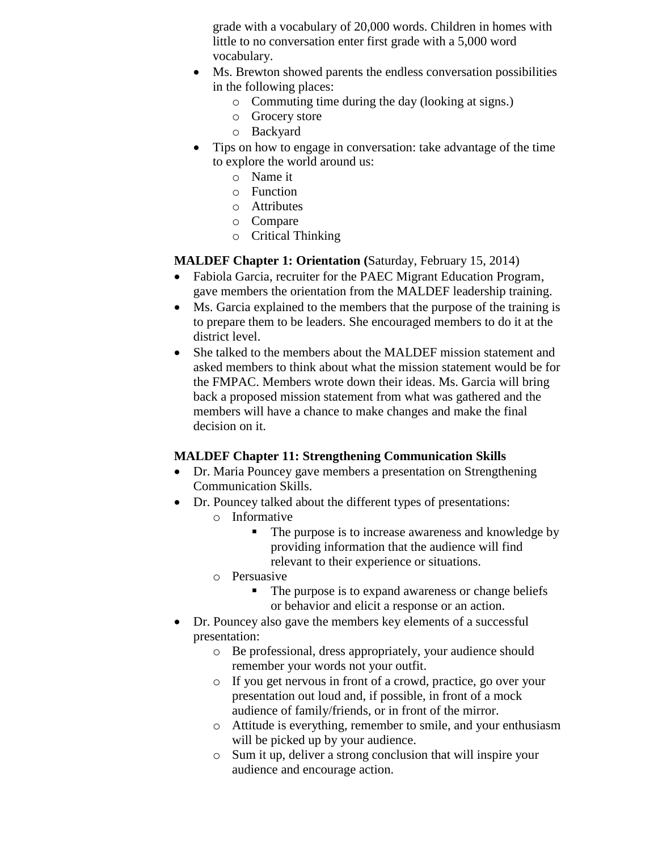grade with a vocabulary of 20,000 words. Children in homes with little to no conversation enter first grade with a 5,000 word vocabulary.

- Ms. Brewton showed parents the endless conversation possibilities in the following places:
	- o Commuting time during the day (looking at signs.)
	- o Grocery store
	- o Backyard
- Tips on how to engage in conversation: take advantage of the time to explore the world around us:
	- o Name it
	- o Function
	- o Attributes
	- o Compare
	- o Critical Thinking

#### **MALDEF Chapter 1: Orientation (**Saturday, February 15, 2014)

- Fabiola Garcia, recruiter for the PAEC Migrant Education Program, gave members the orientation from the MALDEF leadership training.
- Ms. Garcia explained to the members that the purpose of the training is to prepare them to be leaders. She encouraged members to do it at the district level.
- She talked to the members about the MALDEF mission statement and asked members to think about what the mission statement would be for the FMPAC. Members wrote down their ideas. Ms. Garcia will bring back a proposed mission statement from what was gathered and the members will have a chance to make changes and make the final decision on it.

#### **MALDEF Chapter 11: Strengthening Communication Skills**

- Dr. Maria Pouncey gave members a presentation on Strengthening Communication Skills.
- Dr. Pouncey talked about the different types of presentations:
	- o Informative
		- The purpose is to increase awareness and knowledge by providing information that the audience will find relevant to their experience or situations.
	- o Persuasive
		- The purpose is to expand awareness or change beliefs or behavior and elicit a response or an action.
- Dr. Pouncey also gave the members key elements of a successful presentation:
	- o Be professional, dress appropriately, your audience should remember your words not your outfit.
	- o If you get nervous in front of a crowd, practice, go over your presentation out loud and, if possible, in front of a mock audience of family/friends, or in front of the mirror.
	- o Attitude is everything, remember to smile, and your enthusiasm will be picked up by your audience.
	- o Sum it up, deliver a strong conclusion that will inspire your audience and encourage action.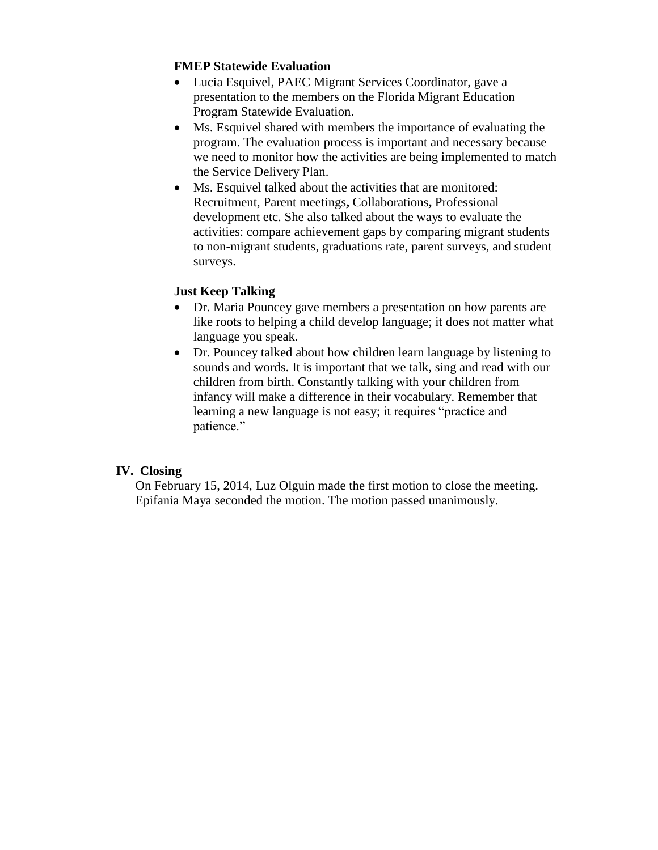#### **FMEP Statewide Evaluation**

- Lucia Esquivel, PAEC Migrant Services Coordinator, gave a presentation to the members on the Florida Migrant Education Program Statewide Evaluation.
- Ms. Esquivel shared with members the importance of evaluating the program. The evaluation process is important and necessary because we need to monitor how the activities are being implemented to match the Service Delivery Plan.
- Ms. Esquivel talked about the activities that are monitored: Recruitment, Parent meetings**,** Collaborations**,** Professional development etc. She also talked about the ways to evaluate the activities: compare achievement gaps by comparing migrant students to non-migrant students, graduations rate, parent surveys, and student surveys.

#### **Just Keep Talking**

- Dr. Maria Pouncey gave members a presentation on how parents are like roots to helping a child develop language; it does not matter what language you speak.
- Dr. Pouncey talked about how children learn language by listening to sounds and words. It is important that we talk, sing and read with our children from birth. Constantly talking with your children from infancy will make a difference in their vocabulary. Remember that learning a new language is not easy; it requires "practice and patience."

#### **IV. Closing**

On February 15, 2014, Luz Olguin made the first motion to close the meeting. Epifania Maya seconded the motion. The motion passed unanimously.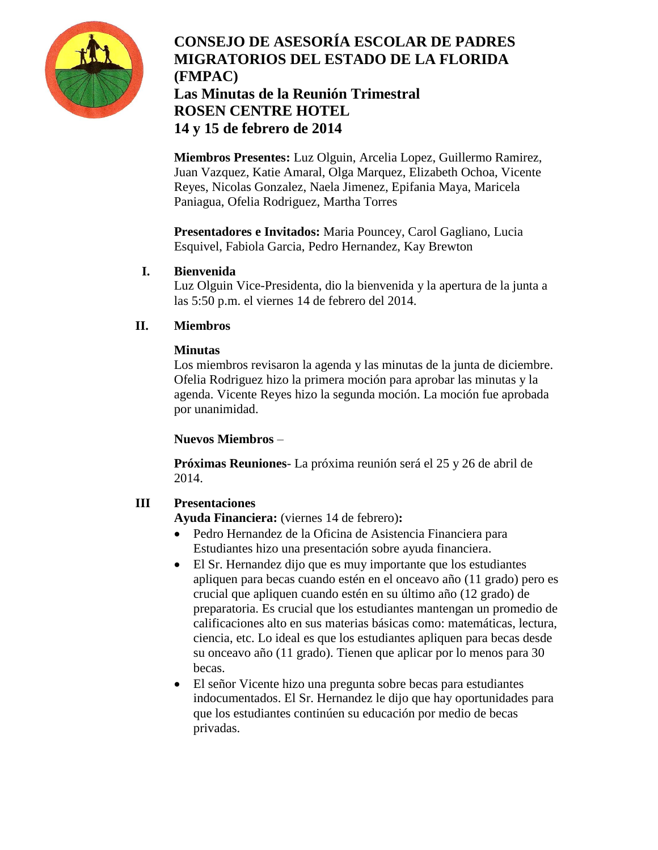

# **CONSEJO DE ASESORÍA ESCOLAR DE PADRES MIGRATORIOS DEL ESTADO DE LA FLORIDA (FMPAC) Las Minutas de la Reunión Trimestral ROSEN CENTRE HOTEL 14 y 15 de febrero de 2014**

**Miembros Presentes:** Luz Olguin, Arcelia Lopez, Guillermo Ramirez, Juan Vazquez, Katie Amaral, Olga Marquez, Elizabeth Ochoa, Vicente Reyes, Nicolas Gonzalez, Naela Jimenez, Epifania Maya, Maricela Paniagua, Ofelia Rodriguez, Martha Torres

**Presentadores e Invitados:** Maria Pouncey, Carol Gagliano, Lucia Esquivel, Fabiola Garcia, Pedro Hernandez, Kay Brewton

## **I. Bienvenida**

Luz Olguin Vice-Presidenta, dio la bienvenida y la apertura de la junta a las 5:50 p.m. el viernes 14 de febrero del 2014.

## **II. Miembros**

## **Minutas**

Los miembros revisaron la agenda y las minutas de la junta de diciembre. Ofelia Rodriguez hizo la primera moción para aprobar las minutas y la agenda. Vicente Reyes hizo la segunda moción. La moción fue aprobada por unanimidad.

#### **Nuevos Miembros** –

**Próximas Reuniones**- La próxima reunión será el 25 y 26 de abril de 2014.

# **III Presentaciones**

**Ayuda Financiera:** (viernes 14 de febrero)**:**

- Pedro Hernandez de la Oficina de Asistencia Financiera para Estudiantes hizo una presentación sobre ayuda financiera.
- El Sr. Hernandez dijo que es muy importante que los estudiantes apliquen para becas cuando estén en el onceavo año (11 grado) pero es crucial que apliquen cuando estén en su último año (12 grado) de preparatoria. Es crucial que los estudiantes mantengan un promedio de calificaciones alto en sus materias básicas como: matemáticas, lectura, ciencia, etc. Lo ideal es que los estudiantes apliquen para becas desde su onceavo año (11 grado). Tienen que aplicar por lo menos para 30 becas.
- El señor Vicente hizo una pregunta sobre becas para estudiantes indocumentados. El Sr. Hernandez le dijo que hay oportunidades para que los estudiantes continúen su educación por medio de becas privadas.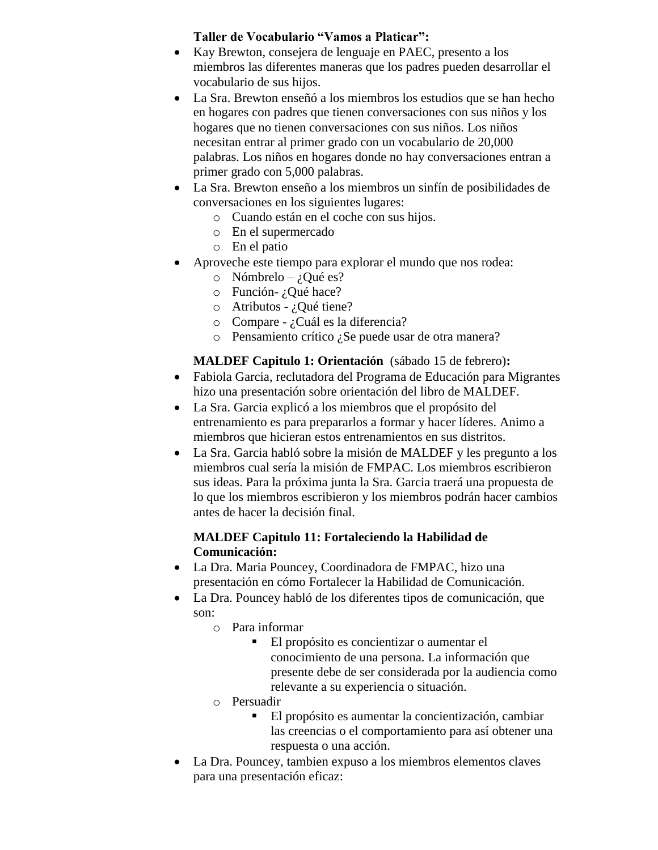# **Taller de Vocabulario "Vamos a Platicar":**

- Kay Brewton, consejera de lenguaje en PAEC, presento a los miembros las diferentes maneras que los padres pueden desarrollar el vocabulario de sus hijos.
- La Sra. Brewton enseñó a los miembros los estudios que se han hecho en hogares con padres que tienen conversaciones con sus niños y los hogares que no tienen conversaciones con sus niños. Los niños necesitan entrar al primer grado con un vocabulario de 20,000 palabras. Los niños en hogares donde no hay conversaciones entran a primer grado con 5,000 palabras.
- La Sra. Brewton enseño a los miembros un sinfín de posibilidades de conversaciones en los siguientes lugares:
	- o Cuando están en el coche con sus hijos.
	- o En el supermercado
	- o En el patio
- Aproveche este tiempo para explorar el mundo que nos rodea:
	- o Nómbrelo ¿Qué es?
	- o Función- ¿Qué hace?
	- $\circ$  Atributos ¿Qué tiene?
	- o Compare ¿Cuál es la diferencia?
	- o Pensamiento crítico ¿Se puede usar de otra manera?

# **MALDEF Capitulo 1: Orientación** (sábado 15 de febrero)**:**

- Fabiola Garcia, reclutadora del Programa de Educación para Migrantes hizo una presentación sobre orientación del libro de MALDEF.
- La Sra. Garcia explicó a los miembros que el propósito del entrenamiento es para prepararlos a formar y hacer líderes. Animo a miembros que hicieran estos entrenamientos en sus distritos.
- La Sra. Garcia habló sobre la misión de MALDEF y les pregunto a los miembros cual sería la misión de FMPAC. Los miembros escribieron sus ideas. Para la próxima junta la Sra. Garcia traerá una propuesta de lo que los miembros escribieron y los miembros podrán hacer cambios antes de hacer la decisión final.

#### **MALDEF Capitulo 11: Fortaleciendo la Habilidad de Comunicación:**

- La Dra. Maria Pouncey, Coordinadora de FMPAC, hizo una presentación en cómo Fortalecer la Habilidad de Comunicación.
- La Dra. Pouncey habló de los diferentes tipos de comunicación, que son:
	- o Para informar
		- El propósito es concientizar o aumentar el conocimiento de una persona. La información que presente debe de ser considerada por la audiencia como relevante a su experiencia o situación.
	- o Persuadir
		- El propósito es aumentar la concientización, cambiar las creencias o el comportamiento para así obtener una respuesta o una acción.
- La Dra. Pouncey, tambien expuso a los miembros elementos claves para una presentación eficaz: